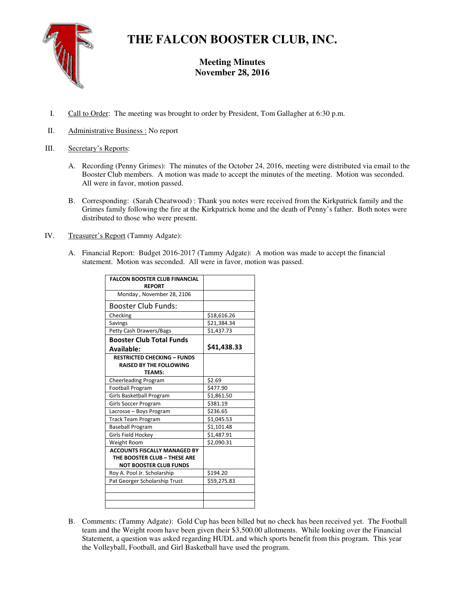

# **THE FALCON BOOSTER CLUB, INC.**

## **Meeting Minutes November 28, 2016**

- I. Call to Order: The meeting was brought to order by President, Tom Gallagher at 6:30 p.m.
- II. Administrative Business : No report

### III. Secretary's Reports:

- A. Recording (Penny Grimes): The minutes of the October 24, 2016, meeting were distributed via email to the Booster Club members. A motion was made to accept the minutes of the meeting. Motion was seconded. All were in favor, motion passed.
- B. Corresponding: (Sarah Cheatwood) : Thank you notes were received from the Kirkpatrick family and the Grimes family following the fire at the Kirkpatrick home and the death of Penny's father. Both notes were distributed to those who were present.
- IV. Treasurer's Report (Tammy Adgate):
	- A. Financial Report: Budget 2016-2017 (Tammy Adgate): A motion was made to accept the financial statement. Motion was seconded. All were in favor, motion was passed.

| <b>FALCON BOOSTER CLUB FINANCIAL</b><br><b>REPORT</b>                |             |
|----------------------------------------------------------------------|-------------|
| Monday, November 28, 2106                                            |             |
| <b>Booster Club Funds:</b>                                           |             |
| Checking                                                             | \$18,616.26 |
| Savings                                                              | \$21,384.34 |
| <b>Petty Cash Drawers/Bags</b>                                       | \$1,437.73  |
| <b>Booster Club Total Funds</b>                                      |             |
| Available:                                                           | \$41,438.33 |
| <b>RESTRICTED CHECKING - FUNDS</b><br><b>RAISED BY THE FOLLOWING</b> |             |
| <b>TFAMS:</b>                                                        |             |
| Cheerleading Program                                                 | \$2.69      |
| <b>Football Program</b>                                              | \$477.90    |
| Girls Basketball Program                                             | \$1,861.50  |
| Girls Soccer Program                                                 | \$381.19    |
| Lacrosse - Boys Program                                              | \$236.65    |
| <b>Track Team Program</b>                                            | \$1,045.53  |
| <b>Baseball Program</b>                                              | \$1,101.48  |
| Girls Field Hockey                                                   | \$1,487.91  |
| Weight Room                                                          | \$2,090.31  |
| <b>ACCOUNTS FISCALLY MANAGED BY</b>                                  |             |
| THE BOOSTER CLUB - THESE ARE                                         |             |
| <b>NOT BOOSTER CLUB FUNDS</b>                                        |             |
| Roy A. Pool Jr. Scholarship                                          | \$194.20    |
| Pat Georger Scholarship Trust                                        | \$59,275.83 |
|                                                                      |             |
|                                                                      |             |
|                                                                      |             |

B. Comments: (Tammy Adgate): Gold Cup has been billed but no check has been received yet. The Football team and the Weight room have been given their \$3,500.00 allotments. While looking over the Financial Statement, a question was asked regarding HUDL and which sports benefit from this program. This year the Volleyball, Football, and Girl Basketball have used the program.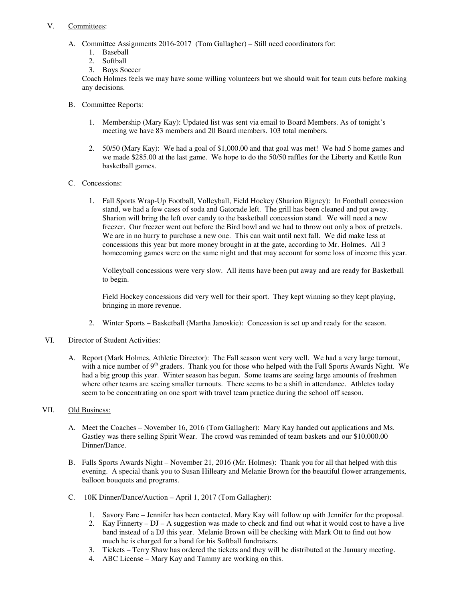### V. Committees:

- A. Committee Assignments 2016-2017 (Tom Gallagher) Still need coordinators for:
	- 1. Baseball
	- 2. Softball
	- 3. Boys Soccer

 Coach Holmes feels we may have some willing volunteers but we should wait for team cuts before making any decisions.

- B. Committee Reports:
	- 1. Membership (Mary Kay): Updated list was sent via email to Board Members. As of tonight's meeting we have 83 members and 20 Board members. 103 total members.
	- 2. 50/50 (Mary Kay): We had a goal of \$1,000.00 and that goal was met! We had 5 home games and we made \$285.00 at the last game. We hope to do the 50/50 raffles for the Liberty and Kettle Run basketball games.
- C. Concessions:
	- 1. Fall Sports Wrap-Up Football, Volleyball, Field Hockey (Sharion Rigney): In Football concession stand, we had a few cases of soda and Gatorade left. The grill has been cleaned and put away. Sharion will bring the left over candy to the basketball concession stand. We will need a new freezer. Our freezer went out before the Bird bowl and we had to throw out only a box of pretzels. We are in no hurry to purchase a new one. This can wait until next fall. We did make less at concessions this year but more money brought in at the gate, according to Mr. Holmes. All 3 homecoming games were on the same night and that may account for some loss of income this year.

Volleyball concessions were very slow. All items have been put away and are ready for Basketball to begin.

Field Hockey concessions did very well for their sport. They kept winning so they kept playing, bringing in more revenue.

2. Winter Sports – Basketball (Martha Janoskie): Concession is set up and ready for the season.

#### VI. Director of Student Activities:

A. Report (Mark Holmes, Athletic Director): The Fall season went very well. We had a very large turnout, with a nice number of  $9<sup>th</sup>$  graders. Thank you for those who helped with the Fall Sports Awards Night. We had a big group this year. Winter season has begun. Some teams are seeing large amounts of freshmen where other teams are seeing smaller turnouts. There seems to be a shift in attendance. Athletes today seem to be concentrating on one sport with travel team practice during the school off season.

### VII. Old Business:

- A. Meet the Coaches November 16, 2016 (Tom Gallagher): Mary Kay handed out applications and Ms. Gastley was there selling Spirit Wear. The crowd was reminded of team baskets and our \$10,000.00 Dinner/Dance.
- B. Falls Sports Awards Night November 21, 2016 (Mr. Holmes): Thank you for all that helped with this evening. A special thank you to Susan Hilleary and Melanie Brown for the beautiful flower arrangements, balloon bouquets and programs.
- C. 10K Dinner/Dance/Auction April 1, 2017 (Tom Gallagher):
	- 1. Savory Fare Jennifer has been contacted. Mary Kay will follow up with Jennifer for the proposal.
	- 2. Kay Finnerty DJ A suggestion was made to check and find out what it would cost to have a live band instead of a DJ this year. Melanie Brown will be checking with Mark Ott to find out how much he is charged for a band for his Softball fundraisers.
	- 3. Tickets Terry Shaw has ordered the tickets and they will be distributed at the January meeting.
	- 4. ABC License Mary Kay and Tammy are working on this.